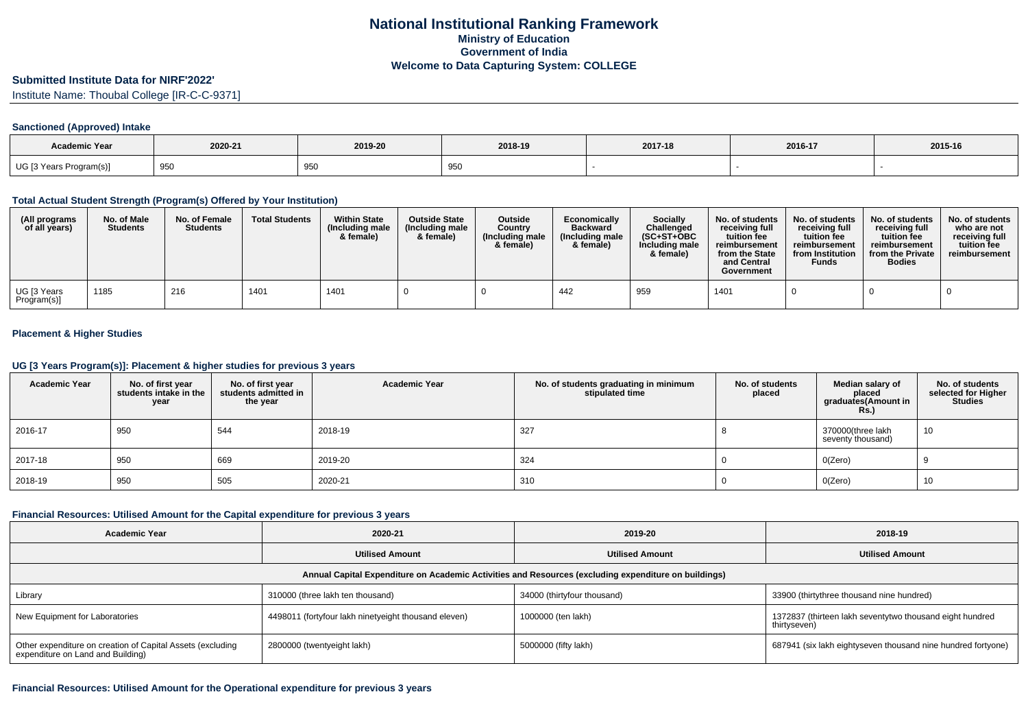### **Submitted Institute Data for NIRF'2022'**

Institute Name: Thoubal College [IR-C-C-9371]

## **Sanctioned (Approved) Intake**

| Academic Year           |                    |         |         |         |         |         |
|-------------------------|--------------------|---------|---------|---------|---------|---------|
|                         | 2020-21            | 2019-20 | 2018-19 | 2017-18 | 2016-17 | 2015-16 |
| UG [3 Years Program(s)] | 950<br><u> JJU</u> | 950     | 950     |         |         |         |

### **Total Actual Student Strength (Program(s) Offered by Your Institution)**

| (All programs<br>of all years) | No. of Male<br><b>Students</b> | No. of Female<br><b>Students</b> | <b>Total Students</b> | <b>Within State</b><br>(Including male<br>& female) | <b>Outside State</b><br>(Including male<br>& female) | <b>Outside</b><br>Country<br>(Including male<br>& female) | Economically<br><b>Backward</b><br>(Including male<br>& female) | <b>Socially</b><br>Challenged<br>$(SC+ST+OBC)$<br>Including male<br>& female) | No. of students<br>receiving full<br>tuition fee<br>reimbursement<br>from the State<br>and Central<br>Government | No. of students<br>receiving full<br>tuition fee<br>reimbursement<br>from Institution<br>Funds | No. of students<br>receiving full<br>tuition fee<br>reimbursement<br>from the Private<br><b>Bodies</b> | No. of students<br>who are not<br>receiving full<br>tuition fee<br>reimbursement |
|--------------------------------|--------------------------------|----------------------------------|-----------------------|-----------------------------------------------------|------------------------------------------------------|-----------------------------------------------------------|-----------------------------------------------------------------|-------------------------------------------------------------------------------|------------------------------------------------------------------------------------------------------------------|------------------------------------------------------------------------------------------------|--------------------------------------------------------------------------------------------------------|----------------------------------------------------------------------------------|
| UG [3 Years<br>Program(s)]     | 1185                           | 216                              | 1401                  | 1401                                                |                                                      |                                                           | 442                                                             | 959                                                                           | 1401                                                                                                             |                                                                                                |                                                                                                        |                                                                                  |

## **Placement & Higher Studies**

#### **UG [3 Years Program(s)]: Placement & higher studies for previous 3 years**

| <b>Academic Year</b> | No. of first year<br>students intake in the<br>year | No. of first year<br>students admitted in<br>the year | <b>Academic Year</b> | No. of students graduating in minimum<br>stipulated time | No. of students<br>placed | Median salary of<br>placed<br>graduates(Amount in<br><b>Rs.)</b> | No. of students<br>selected for Higher<br><b>Studies</b> |
|----------------------|-----------------------------------------------------|-------------------------------------------------------|----------------------|----------------------------------------------------------|---------------------------|------------------------------------------------------------------|----------------------------------------------------------|
| 2016-17              | 950                                                 | 544                                                   | 2018-19              | 327                                                      |                           | 370000(three lakh<br>seventy thousand)                           | 10                                                       |
| 2017-18              | 950                                                 | 669                                                   | 2019-20              | 324                                                      |                           | O(Zero)                                                          |                                                          |
| 2018-19              | 950                                                 | 505                                                   | 2020-21              | 310                                                      |                           | O(Zero)                                                          | 10                                                       |

#### **Financial Resources: Utilised Amount for the Capital expenditure for previous 3 years**

| <b>Academic Year</b>                                                                                 | 2020-21                                              | 2019-20                     | 2018-19                                                                  |  |  |  |  |  |  |  |
|------------------------------------------------------------------------------------------------------|------------------------------------------------------|-----------------------------|--------------------------------------------------------------------------|--|--|--|--|--|--|--|
|                                                                                                      | <b>Utilised Amount</b>                               | <b>Utilised Amount</b>      | <b>Utilised Amount</b>                                                   |  |  |  |  |  |  |  |
| Annual Capital Expenditure on Academic Activities and Resources (excluding expenditure on buildings) |                                                      |                             |                                                                          |  |  |  |  |  |  |  |
| Library                                                                                              | 310000 (three lakh ten thousand)                     | 34000 (thirtyfour thousand) | 33900 (thirtythree thousand nine hundred)                                |  |  |  |  |  |  |  |
| New Equipment for Laboratories                                                                       | 4498011 (fortyfour lakh ninetyeight thousand eleven) | 1000000 (ten lakh)          | 1372837 (thirteen lakh seventytwo thousand eight hundred<br>thirtyseven) |  |  |  |  |  |  |  |
| Other expenditure on creation of Capital Assets (excluding<br>expenditure on Land and Building)      | 2800000 (twentyeight lakh)                           | 5000000 (fifty lakh)        | 687941 (six lakh eightyseven thousand nine hundred fortyone)             |  |  |  |  |  |  |  |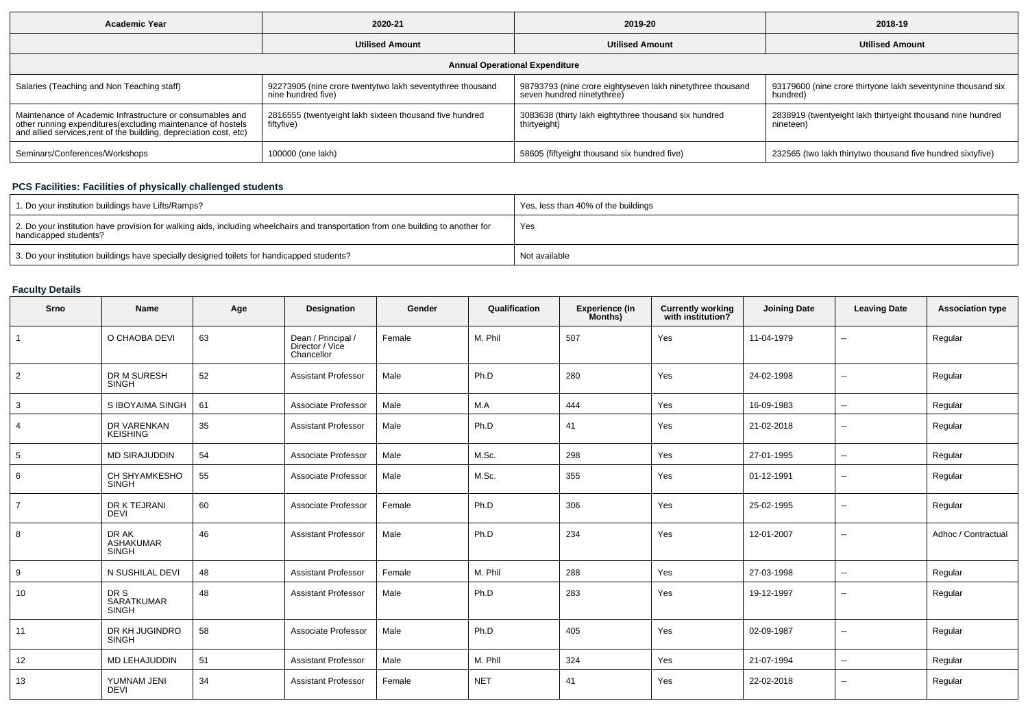| <b>Academic Year</b>                                                                                                                                                                            | 2020-21                                                                         | 2019-20                                                                                  | 2018-19                                                                  |  |  |  |  |  |  |  |
|-------------------------------------------------------------------------------------------------------------------------------------------------------------------------------------------------|---------------------------------------------------------------------------------|------------------------------------------------------------------------------------------|--------------------------------------------------------------------------|--|--|--|--|--|--|--|
|                                                                                                                                                                                                 | <b>Utilised Amount</b>                                                          | <b>Utilised Amount</b>                                                                   | <b>Utilised Amount</b>                                                   |  |  |  |  |  |  |  |
| <b>Annual Operational Expenditure</b>                                                                                                                                                           |                                                                                 |                                                                                          |                                                                          |  |  |  |  |  |  |  |
| Salaries (Teaching and Non Teaching staff)                                                                                                                                                      | 92273905 (nine crore twentytwo lakh seventythree thousand<br>nine hundred five) | 98793793 (nine crore eightyseven lakh ninetythree thousand<br>seven hundred ninetythree) | 93179600 (nine crore thirtyone lakh seventynine thousand six<br>hundred) |  |  |  |  |  |  |  |
| Maintenance of Academic Infrastructure or consumables and<br>other running expenditures (excluding maintenance of hostels<br>and allied services, rent of the building, depreciation cost, etc) | 2816555 (twentyeight lakh sixteen thousand five hundred<br>fiftyfive)           | 3083638 (thirty lakh eightythree thousand six hundred<br>thirtyeight)                    | 2838919 (twentyeight lakh thirtyeight thousand nine hundred<br>nineteen) |  |  |  |  |  |  |  |
| Seminars/Conferences/Workshops                                                                                                                                                                  | 100000 (one lakh)                                                               | 58605 (fiftyeight thousand six hundred five)                                             | 232565 (two lakh thirtytwo thousand five hundred sixtyfive)              |  |  |  |  |  |  |  |

# **PCS Facilities: Facilities of physically challenged students**

| 1. Do your institution buildings have Lifts/Ramps?                                                                                                         | Yes, less than 40% of the buildings |
|------------------------------------------------------------------------------------------------------------------------------------------------------------|-------------------------------------|
| 2. Do your institution have provision for walking aids, including wheelchairs and transportation from one building to another for<br>handicapped students? | Yes                                 |
| 3. Do your institution buildings have specially designed toilets for handicapped students?                                                                 | Not available                       |

# **Faculty Details**

| Srno           | Name                               | Age | Designation                                         | Gender | Qualification | Experience (In<br>Months) | <b>Currently working</b><br>with institution? | <b>Joining Date</b> | <b>Leaving Date</b>      | <b>Association type</b> |
|----------------|------------------------------------|-----|-----------------------------------------------------|--------|---------------|---------------------------|-----------------------------------------------|---------------------|--------------------------|-------------------------|
| $\mathbf{1}$   | O CHAOBA DEVI                      | 63  | Dean / Principal /<br>Director / Vice<br>Chancellor | Female | M. Phil       | 507                       | Yes                                           | 11-04-1979          | $\overline{\phantom{a}}$ | Regular                 |
| 2              | DR M SURESH<br><b>SINGH</b>        | 52  | <b>Assistant Professor</b>                          | Male   | Ph.D          | 280                       | Yes                                           | 24-02-1998          | ⊷.                       | Regular                 |
| 3              | S IBOYAIMA SINGH                   | 61  | Associate Professor                                 | Male   | M.A           | 444                       | Yes                                           | 16-09-1983          | $\overline{\phantom{a}}$ | Regular                 |
| 4              | DR VARENKAN<br><b>KEISHING</b>     | 35  | <b>Assistant Professor</b>                          | Male   | Ph.D          | 41                        | Yes                                           | 21-02-2018          | $\overline{\phantom{a}}$ | Regular                 |
| 5              | <b>MD SIRAJUDDIN</b>               | 54  | Associate Professor                                 | Male   | M.Sc.         | 298                       | Yes                                           | 27-01-1995          | ⊷.                       | Regular                 |
| 6              | CH SHYAMKESHO<br><b>SINGH</b>      | 55  | Associate Professor                                 | Male   | M.Sc.         | 355                       | Yes                                           | 01-12-1991          | $\overline{\phantom{a}}$ | Regular                 |
| $\overline{7}$ | DR K TEJRANI<br><b>DEVI</b>        | 60  | Associate Professor                                 | Female | Ph.D          | 306                       | Yes                                           | 25-02-1995          | $\overline{\phantom{a}}$ | Regular                 |
| 8              | DR AK<br>ASHAKUMAR<br><b>SINGH</b> | 46  | <b>Assistant Professor</b>                          | Male   | Ph.D          | 234                       | Yes                                           | 12-01-2007          | $\overline{\phantom{a}}$ | Adhoc / Contractual     |
| 9              | N SUSHILAL DEVI                    | 48  | <b>Assistant Professor</b>                          | Female | M. Phil       | 288                       | Yes                                           | 27-03-1998          | $\overline{\phantom{a}}$ | Regular                 |
| 10             | DR S<br>SARATKUMAR<br><b>SINGH</b> | 48  | <b>Assistant Professor</b>                          | Male   | Ph.D          | 283                       | Yes                                           | 19-12-1997          | $\overline{\phantom{a}}$ | Regular                 |
| 11             | DR KH JUGINDRO<br><b>SINGH</b>     | 58  | Associate Professor                                 | Male   | Ph.D          | 405                       | Yes                                           | 02-09-1987          | --                       | Regular                 |
| 12             | <b>MD LEHAJUDDIN</b>               | 51  | <b>Assistant Professor</b>                          | Male   | M. Phil       | 324                       | Yes                                           | 21-07-1994          | $\mathbf{u}$             | Regular                 |
| 13             | YUMNAM JENI<br><b>DEVI</b>         | 34  | <b>Assistant Professor</b>                          | Female | <b>NET</b>    | 41                        | Yes                                           | 22-02-2018          | $\overline{\phantom{a}}$ | Regular                 |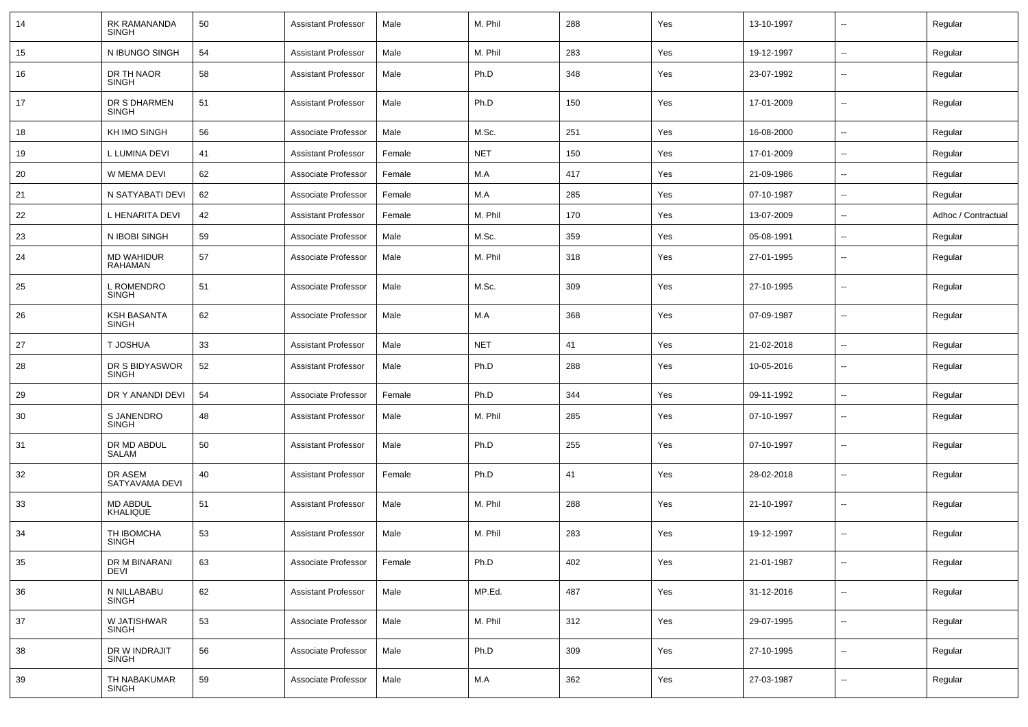| 14 | RK RAMANANDA<br><b>SINGH</b>       | 50 | <b>Assistant Professor</b> | Male   | M. Phil    | 288 | Yes | 13-10-1997 | $\sim$                   | Regular             |
|----|------------------------------------|----|----------------------------|--------|------------|-----|-----|------------|--------------------------|---------------------|
| 15 | N IBUNGO SINGH                     | 54 | <b>Assistant Professor</b> | Male   | M. Phil    | 283 | Yes | 19-12-1997 | $\sim$                   | Regular             |
| 16 | DR TH NAOR<br><b>SINGH</b>         | 58 | <b>Assistant Professor</b> | Male   | Ph.D       | 348 | Yes | 23-07-1992 | Ξ.                       | Regular             |
| 17 | DR S DHARMEN<br><b>SINGH</b>       | 51 | <b>Assistant Professor</b> | Male   | Ph.D       | 150 | Yes | 17-01-2009 | $\sim$                   | Regular             |
| 18 | KH IMO SINGH                       | 56 | Associate Professor        | Male   | M.Sc.      | 251 | Yes | 16-08-2000 | ш.                       | Regular             |
| 19 | L LUMINA DEVI                      | 41 | <b>Assistant Professor</b> | Female | <b>NET</b> | 150 | Yes | 17-01-2009 | $\sim$                   | Regular             |
| 20 | W MEMA DEVI                        | 62 | Associate Professor        | Female | M.A        | 417 | Yes | 21-09-1986 | $\overline{\phantom{a}}$ | Regular             |
| 21 | N SATYABATI DEVI                   | 62 | Associate Professor        | Female | M.A        | 285 | Yes | 07-10-1987 | $\sim$                   | Regular             |
| 22 | L HENARITA DEVI                    | 42 | <b>Assistant Professor</b> | Female | M. Phil    | 170 | Yes | 13-07-2009 | $\sim$                   | Adhoc / Contractual |
| 23 | N IBOBI SINGH                      | 59 | Associate Professor        | Male   | M.Sc.      | 359 | Yes | 05-08-1991 | $\sim$                   | Regular             |
| 24 | <b>MD WAHIDUR</b><br>RAHAMAN       | 57 | Associate Professor        | Male   | M. Phil    | 318 | Yes | 27-01-1995 | $\sim$                   | Regular             |
| 25 | <b>L ROMENDRO</b><br><b>SINGH</b>  | 51 | Associate Professor        | Male   | M.Sc.      | 309 | Yes | 27-10-1995 | $\sim$                   | Regular             |
| 26 | <b>KSH BASANTA</b><br><b>SINGH</b> | 62 | Associate Professor        | Male   | M.A        | 368 | Yes | 07-09-1987 | $\sim$                   | Regular             |
| 27 | T JOSHUA                           | 33 | <b>Assistant Professor</b> | Male   | <b>NET</b> | 41  | Yes | 21-02-2018 | $\sim$                   | Regular             |
| 28 | DR S BIDYASWOR<br><b>SINGH</b>     | 52 | <b>Assistant Professor</b> | Male   | Ph.D       | 288 | Yes | 10-05-2016 | $\sim$                   | Regular             |
| 29 | DR Y ANANDI DEVI                   | 54 | Associate Professor        | Female | Ph.D       | 344 | Yes | 09-11-1992 | $\sim$                   | Regular             |
| 30 | S JANENDRO<br><b>SINGH</b>         | 48 | <b>Assistant Professor</b> | Male   | M. Phil    | 285 | Yes | 07-10-1997 | $- -$                    | Regular             |
| 31 | DR MD ABDUL<br>SALAM               | 50 | <b>Assistant Professor</b> | Male   | Ph.D       | 255 | Yes | 07-10-1997 | $\overline{\phantom{a}}$ | Regular             |
| 32 | DR ASEM<br>SATYAVAMA DEVI          | 40 | <b>Assistant Professor</b> | Female | Ph.D       | 41  | Yes | 28-02-2018 | ۰.                       | Regular             |
| 33 | <b>MD ABDUL</b><br><b>KHALIQUE</b> | 51 | <b>Assistant Professor</b> | Male   | M. Phil    | 288 | Yes | 21-10-1997 | $\overline{a}$           | Regular             |
| 34 | TH IBOMCHA<br><b>SINGH</b>         | 53 | <b>Assistant Professor</b> | Male   | M. Phil    | 283 | Yes | 19-12-1997 | $\overline{\phantom{a}}$ | Regular             |
| 35 | DR M BINARANI<br>DEVI              | 63 | Associate Professor        | Female | Ph.D       | 402 | Yes | 21-01-1987 | $\overline{\phantom{a}}$ | Regular             |
| 36 | N NILLABABU<br><b>SINGH</b>        | 62 | <b>Assistant Professor</b> | Male   | MP.Ed.     | 487 | Yes | 31-12-2016 | $\overline{\phantom{a}}$ | Regular             |
| 37 | W JATISHWAR<br>SINGH               | 53 | Associate Professor        | Male   | M. Phil    | 312 | Yes | 29-07-1995 | $\sim$                   | Regular             |
| 38 | DR W INDRAJIT<br>SINGH             | 56 | Associate Professor        | Male   | Ph.D       | 309 | Yes | 27-10-1995 | $\sim$                   | Regular             |
| 39 | TH NABAKUMAR<br>SINGH              | 59 | Associate Professor        | Male   | M.A        | 362 | Yes | 27-03-1987 | $\sim$                   | Regular             |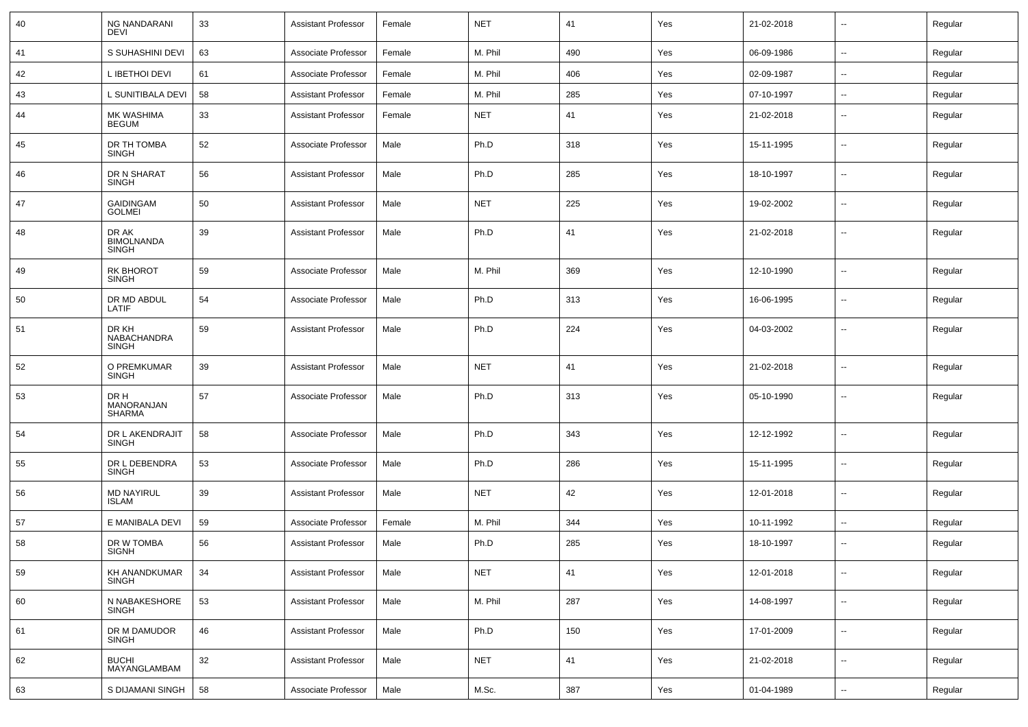| 40 | <b>NG NANDARANI</b><br><b>DEVI</b>         | 33 | <b>Assistant Professor</b> | Female | <b>NET</b> | 41  | Yes | 21-02-2018 | $\sim$                   | Regular |
|----|--------------------------------------------|----|----------------------------|--------|------------|-----|-----|------------|--------------------------|---------|
| 41 | S SUHASHINI DEVI                           | 63 | Associate Professor        | Female | M. Phil    | 490 | Yes | 06-09-1986 | $\sim$                   | Regular |
| 42 | L IBETHOI DEVI                             | 61 | Associate Professor        | Female | M. Phil    | 406 | Yes | 02-09-1987 | $\overline{\phantom{a}}$ | Regular |
| 43 | L SUNITIBALA DEVI                          | 58 | <b>Assistant Professor</b> | Female | M. Phil    | 285 | Yes | 07-10-1997 | $\overline{\phantom{a}}$ | Regular |
| 44 | MK WASHIMA<br>BEGUM                        | 33 | <b>Assistant Professor</b> | Female | <b>NET</b> | 41  | Yes | 21-02-2018 | --                       | Regular |
| 45 | DR TH TOMBA<br><b>SINGH</b>                | 52 | Associate Professor        | Male   | Ph.D       | 318 | Yes | 15-11-1995 | $\overline{\phantom{a}}$ | Regular |
| 46 | DR N SHARAT<br><b>SINGH</b>                | 56 | <b>Assistant Professor</b> | Male   | Ph.D       | 285 | Yes | 18-10-1997 | --                       | Regular |
| 47 | <b>GAIDINGAM</b><br><b>GOLMEI</b>          | 50 | <b>Assistant Professor</b> | Male   | <b>NET</b> | 225 | Yes | 19-02-2002 | $\overline{\phantom{a}}$ | Regular |
| 48 | DR AK<br><b>BIMOLNANDA</b><br><b>SINGH</b> | 39 | <b>Assistant Professor</b> | Male   | Ph.D       | 41  | Yes | 21-02-2018 | $\overline{\phantom{a}}$ | Regular |
| 49 | <b>RK BHOROT</b><br><b>SINGH</b>           | 59 | Associate Professor        | Male   | M. Phil    | 369 | Yes | 12-10-1990 | $\overline{\phantom{a}}$ | Regular |
| 50 | DR MD ABDUL<br>LATIF                       | 54 | Associate Professor        | Male   | Ph.D       | 313 | Yes | 16-06-1995 | $\sim$                   | Regular |
| 51 | DR KH<br>NABACHANDRA<br><b>SINGH</b>       | 59 | <b>Assistant Professor</b> | Male   | Ph.D       | 224 | Yes | 04-03-2002 | $\overline{\phantom{a}}$ | Regular |
| 52 | O PREMKUMAR<br><b>SINGH</b>                | 39 | <b>Assistant Professor</b> | Male   | <b>NET</b> | 41  | Yes | 21-02-2018 | --                       | Regular |
| 53 | DR H<br>MANORANJAN<br><b>SHARMA</b>        | 57 | Associate Professor        | Male   | Ph.D       | 313 | Yes | 05-10-1990 | $\overline{\phantom{a}}$ | Regular |
| 54 | DR L AKENDRAJIT<br><b>SINGH</b>            | 58 | Associate Professor        | Male   | Ph.D       | 343 | Yes | 12-12-1992 | $\sim$                   | Regular |
| 55 | DR L DEBENDRA<br><b>SINGH</b>              | 53 | Associate Professor        | Male   | Ph.D       | 286 | Yes | 15-11-1995 | $\sim$                   | Regular |
| 56 | <b>MD NAYIRUL</b><br><b>ISLAM</b>          | 39 | <b>Assistant Professor</b> | Male   | <b>NET</b> | 42  | Yes | 12-01-2018 | $\sim$                   | Regular |
| 57 | E MANIBALA DEVI                            | 59 | Associate Professor        | Female | M. Phil    | 344 | Yes | 10-11-1992 | $\sim$                   | Regular |
| 58 | DR W TOMBA<br><b>SIGNH</b>                 | 56 | <b>Assistant Professor</b> | Male   | Ph.D       | 285 | Yes | 18-10-1997 | --                       | Regular |
| 59 | KH ANANDKUMAR<br><b>SINGH</b>              | 34 | <b>Assistant Professor</b> | Male   | <b>NET</b> | 41  | Yes | 12-01-2018 | $\sim$                   | Regular |
| 60 | N NABAKESHORE<br><b>SINGH</b>              | 53 | <b>Assistant Professor</b> | Male   | M. Phil    | 287 | Yes | 14-08-1997 | $\sim$                   | Regular |
| 61 | DR M DAMUDOR<br><b>SINGH</b>               | 46 | <b>Assistant Professor</b> | Male   | Ph.D       | 150 | Yes | 17-01-2009 | $\sim$                   | Regular |
| 62 | <b>BUCHI</b><br>MAYANGLAMBAM               | 32 | <b>Assistant Professor</b> | Male   | <b>NET</b> | 41  | Yes | 21-02-2018 | $\sim$                   | Regular |
| 63 | S DIJAMANI SINGH                           | 58 | Associate Professor        | Male   | M.Sc.      | 387 | Yes | 01-04-1989 | $\sim$                   | Regular |